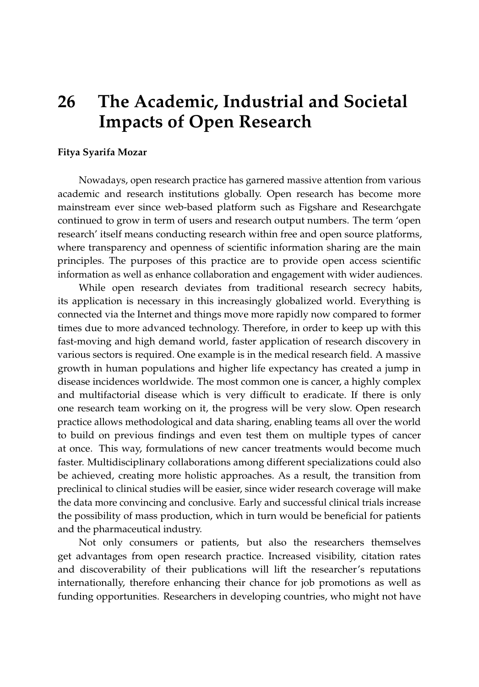## **26 The Academic, Industrial and Societal Impacts of Open Research**

## **Fitya Syarifa Mozar**

Nowadays, open research practice has garnered massive attention from various academic and research institutions globally. Open research has become more mainstream ever since web-based platform such as Figshare and Researchgate continued to grow in term of users and research output numbers. The term 'open research' itself means conducting research within free and open source platforms, where transparency and openness of scientific information sharing are the main principles. The purposes of this practice are to provide open access scientific information as well as enhance collaboration and engagement with wider audiences.

While open research deviates from traditional research secrecy habits, its application is necessary in this increasingly globalized world. Everything is connected via the Internet and things move more rapidly now compared to former times due to more advanced technology. Therefore, in order to keep up with this fast-moving and high demand world, faster application of research discovery in various sectors is required. One example is in the medical research field. A massive growth in human populations and higher life expectancy has created a jump in disease incidences worldwide. The most common one is cancer, a highly complex and multifactorial disease which is very difficult to eradicate. If there is only one research team working on it, the progress will be very slow. Open research practice allows methodological and data sharing, enabling teams all over the world to build on previous findings and even test them on multiple types of cancer at once. This way, formulations of new cancer treatments would become much faster. Multidisciplinary collaborations among different specializations could also be achieved, creating more holistic approaches. As a result, the transition from preclinical to clinical studies will be easier, since wider research coverage will make the data more convincing and conclusive. Early and successful clinical trials increase the possibility of mass production, which in turn would be beneficial for patients and the pharmaceutical industry.

Not only consumers or patients, but also the researchers themselves get advantages from open research practice. Increased visibility, citation rates and discoverability of their publications will lift the researcher's reputations internationally, therefore enhancing their chance for job promotions as well as funding opportunities. Researchers in developing countries, who might not have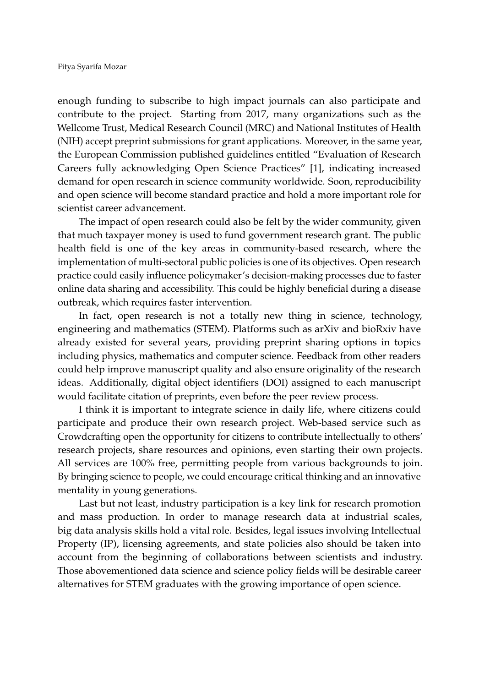enough funding to subscribe to high impact journals can also participate and contribute to the project. Starting from 2017, many organizations such as the Wellcome Trust, Medical Research Council (MRC) and National Institutes of Health (NIH) accept preprint submissions for grant applications. Moreover, in the same year, the European Commission published guidelines entitled "Evaluation of Research Careers fully acknowledging Open Science Practices" [\[1\]](#page-2-0), indicating increased demand for open research in science community worldwide. Soon, reproducibility and open science will become standard practice and hold a more important role for scientist career advancement.

The impact of open research could also be felt by the wider community, given that much taxpayer money is used to fund government research grant. The public health field is one of the key areas in community-based research, where the implementation of multi-sectoral public policies is one of its objectives. Open research practice could easily influence policymaker's decision-making processes due to faster online data sharing and accessibility. This could be highly beneficial during a disease outbreak, which requires faster intervention.

In fact, open research is not a totally new thing in science, technology, engineering and mathematics (STEM). Platforms such as arXiv and bioRxiv have already existed for several years, providing preprint sharing options in topics including physics, mathematics and computer science. Feedback from other readers could help improve manuscript quality and also ensure originality of the research ideas. Additionally, digital object identifiers (DOI) assigned to each manuscript would facilitate citation of preprints, even before the peer review process.

I think it is important to integrate science in daily life, where citizens could participate and produce their own research project. Web-based service such as Crowdcrafting open the opportunity for citizens to contribute intellectually to others' research projects, share resources and opinions, even starting their own projects. All services are 100% free, permitting people from various backgrounds to join. By bringing science to people, we could encourage critical thinking and an innovative mentality in young generations.

Last but not least, industry participation is a key link for research promotion and mass production. In order to manage research data at industrial scales, big data analysis skills hold a vital role. Besides, legal issues involving Intellectual Property (IP), licensing agreements, and state policies also should be taken into account from the beginning of collaborations between scientists and industry. Those abovementioned data science and science policy fields will be desirable career alternatives for STEM graduates with the growing importance of open science.